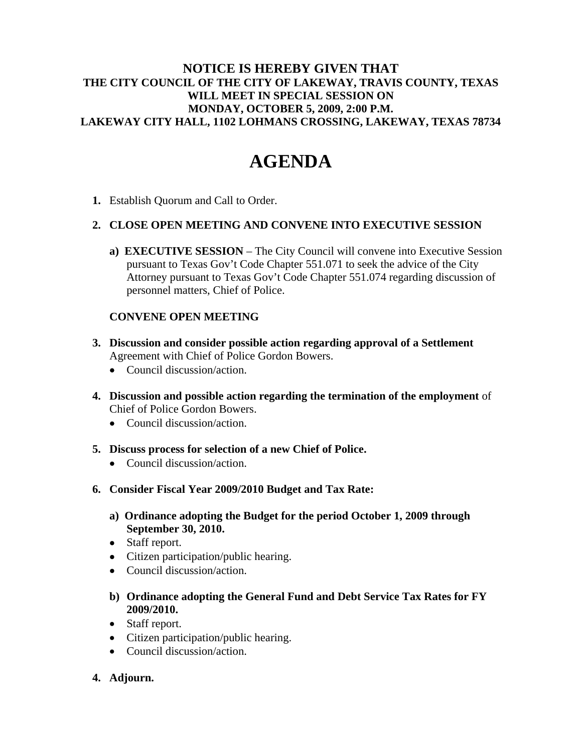## **NOTICE IS HEREBY GIVEN THAT THE CITY COUNCIL OF THE CITY OF LAKEWAY, TRAVIS COUNTY, TEXAS WILL MEET IN SPECIAL SESSION ON MONDAY, OCTOBER 5, 2009, 2:00 P.M. LAKEWAY CITY HALL, 1102 LOHMANS CROSSING, LAKEWAY, TEXAS 78734**

# **AGENDA**

**1.** Establish Quorum and Call to Order.

### **2. CLOSE OPEN MEETING AND CONVENE INTO EXECUTIVE SESSION**

**a) EXECUTIVE SESSION** – The City Council will convene into Executive Session pursuant to Texas Gov't Code Chapter 551.071 to seek the advice of the City Attorney pursuant to Texas Gov't Code Chapter 551.074 regarding discussion of personnel matters, Chief of Police.

## **CONVENE OPEN MEETING**

- **3. Discussion and consider possible action regarding approval of a Settlement**  Agreement with Chief of Police Gordon Bowers.
	- Council discussion/action.
- **4. Discussion and possible action regarding the termination of the employment** of Chief of Police Gordon Bowers.
	- Council discussion/action.
- **5. Discuss process for selection of a new Chief of Police.** 
	- Council discussion/action.
- **6. Consider Fiscal Year 2009/2010 Budget and Tax Rate:**
	- **a) Ordinance adopting the Budget for the period October 1, 2009 through September 30, 2010.**
	- Staff report.
	- Citizen participation/public hearing.
	- Council discussion/action.
	- **b) Ordinance adopting the General Fund and Debt Service Tax Rates for FY 2009/2010.**
	- Staff report.
	- Citizen participation/public hearing.
	- Council discussion/action.
- **4. Adjourn.**